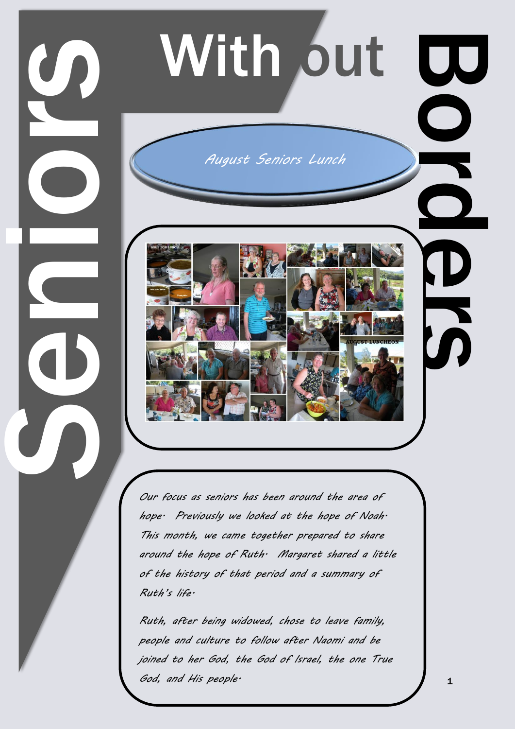

*Our focus as seniors has been around the area of hope. Previously we looked at the hope of Noah. This month, we came together prepared to share around the hope of Ruth. Margaret shared a little of the history of that period and a summary of Ruth's life.*

*Ruth, after being widowed, chose to leave family, people and culture to follow after Naomi and be joined to her God, the God of Israel, the one True God, and His people.*